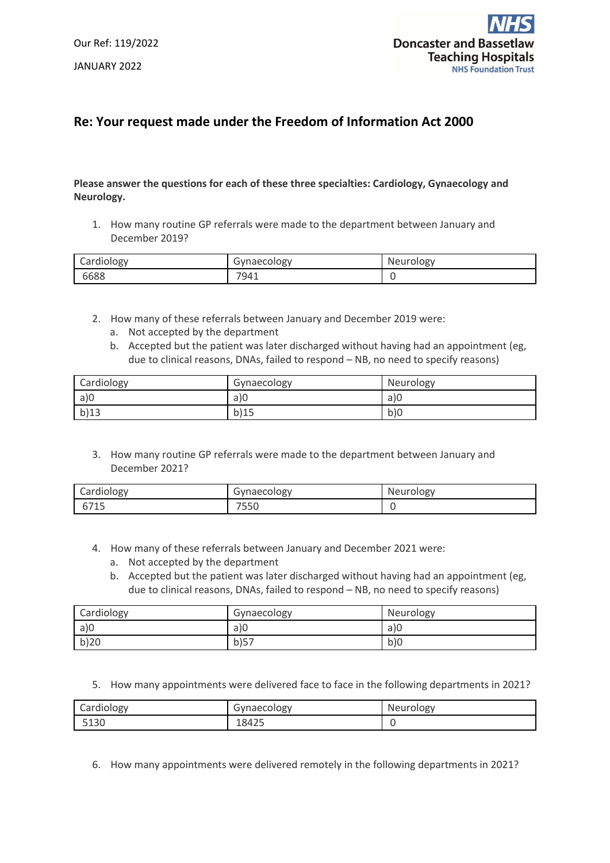

## **Re: Your request made under the Freedom of Information Act 2000**

## **Please answer the questions for each of these three specialties: Cardiology, Gynaecology and Neurology.**

1. How many routine GP referrals were made to the department between January and December 2019?

| Cardiology | Gynaecology | Neurology |
|------------|-------------|-----------|
| 6688       | 7941        |           |

- 2. How many of these referrals between January and December 2019 were:
	- a. Not accepted by the department
	- b. Accepted but the patient was later discharged without having had an appointment (eg, due to clinical reasons, DNAs, failed to respond – NB, no need to specify reasons)

| Cardiology | Gynaecology | Neurology |
|------------|-------------|-----------|
| a)0        | a)0         | a)0       |
| b)13       | b)15        | b)0       |

3. How many routine GP referrals were made to the department between January and December 2021?

| Cardiology | Gynaecology | Neurology |
|------------|-------------|-----------|
| 6715       | 7550        |           |

- 4. How many of these referrals between January and December 2021 were:
	- a. Not accepted by the department
	- b. Accepted but the patient was later discharged without having had an appointment (eg, due to clinical reasons, DNAs, failed to respond – NB, no need to specify reasons)

| Cardiology | Gynaecology | Neurology |
|------------|-------------|-----------|
| a)0        | a)0         | a)0       |
| b)20       | b)57        | b)0       |

5. How many appointments were delivered face to face in the following departments in 2021?

| Cardiology | Gynaecology | Neurology |
|------------|-------------|-----------|
| 5130       | 18425       |           |

6. How many appointments were delivered remotely in the following departments in 2021?